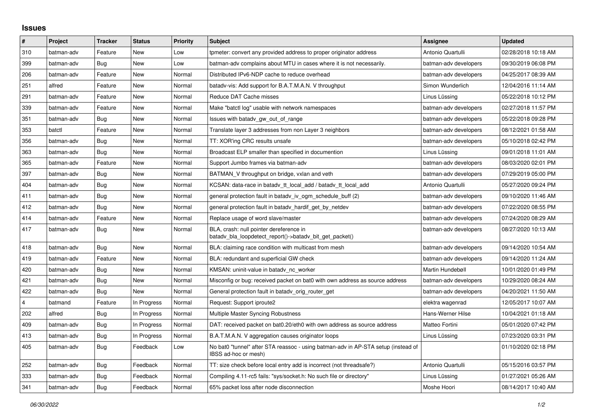## **Issues**

| $\sharp$                | Project    | <b>Tracker</b> | <b>Status</b> | <b>Priority</b> | <b>Subject</b>                                                                                            | Assignee              | <b>Updated</b>      |
|-------------------------|------------|----------------|---------------|-----------------|-----------------------------------------------------------------------------------------------------------|-----------------------|---------------------|
| 310                     | batman-adv | Feature        | New           | Low             | tpmeter: convert any provided address to proper originator address                                        | Antonio Quartulli     | 02/28/2018 10:18 AM |
| 399                     | batman-adv | Bug            | <b>New</b>    | Low             | batman-adv complains about MTU in cases where it is not necessarily.                                      | batman-adv developers | 09/30/2019 06:08 PM |
| 206                     | batman-adv | Feature        | New           | Normal          | Distributed IPv6-NDP cache to reduce overhead                                                             | batman-adv developers | 04/25/2017 08:39 AM |
| 251                     | alfred     | Feature        | New           | Normal          | batady-vis: Add support for B.A.T.M.A.N. V throughput                                                     | Simon Wunderlich      | 12/04/2016 11:14 AM |
| 291                     | batman-adv | Feature        | <b>New</b>    | Normal          | Reduce DAT Cache misses                                                                                   | Linus Lüssing         | 05/22/2018 10:12 PM |
| 339                     | batman-adv | Feature        | New           | Normal          | Make "batctl log" usable with network namespaces                                                          | batman-adv developers | 02/27/2018 11:57 PM |
| 351                     | batman-adv | Bug            | <b>New</b>    | Normal          | Issues with batady gw out of range                                                                        | batman-adv developers | 05/22/2018 09:28 PM |
| 353                     | batctl     | Feature        | <b>New</b>    | Normal          | Translate layer 3 addresses from non Layer 3 neighbors                                                    | batman-adv developers | 08/12/2021 01:58 AM |
| 356                     | batman-adv | Bug            | New           | Normal          | TT: XOR'ing CRC results unsafe                                                                            | batman-adv developers | 05/10/2018 02:42 PM |
| 363                     | batman-adv | Bug            | <b>New</b>    | Normal          | Broadcast ELP smaller than specified in documention                                                       | Linus Lüssing         | 09/01/2018 11:01 AM |
| 365                     | batman-adv | Feature        | New           | Normal          | Support Jumbo frames via batman-adv                                                                       | batman-adv developers | 08/03/2020 02:01 PM |
| 397                     | batman-adv | Bug            | New           | Normal          | BATMAN V throughput on bridge, vxlan and veth                                                             | batman-adv developers | 07/29/2019 05:00 PM |
| 404                     | batman-adv | Bug            | <b>New</b>    | Normal          | KCSAN: data-race in batady tt local add / batady tt local add                                             | Antonio Quartulli     | 05/27/2020 09:24 PM |
| 411                     | batman-adv | Bug            | New           | Normal          | general protection fault in batady iv ogm schedule buff (2)                                               | batman-adv developers | 09/10/2020 11:46 AM |
| 412                     | batman-adv | Bug            | <b>New</b>    | Normal          | general protection fault in batady_hardif_get_by_netdev                                                   | batman-adv developers | 07/22/2020 08:55 PM |
| 414                     | batman-adv | Feature        | New           | Normal          | Replace usage of word slave/master                                                                        | batman-adv developers | 07/24/2020 08:29 AM |
| 417                     | batman-adv | Bug            | New           | Normal          | BLA, crash: null pointer dereference in<br>batady bla loopdetect report()->batady bit get packet()        | batman-adv developers | 08/27/2020 10:13 AM |
| 418                     | batman-adv | Bug            | <b>New</b>    | Normal          | BLA: claiming race condition with multicast from mesh                                                     | batman-adv developers | 09/14/2020 10:54 AM |
| 419                     | batman-adv | Feature        | New           | Normal          | BLA: redundant and superficial GW check                                                                   | batman-adv developers | 09/14/2020 11:24 AM |
| 420                     | batman-adv | Bug            | <b>New</b>    | Normal          | KMSAN: uninit-value in batadv_nc_worker                                                                   | Martin Hundebøll      | 10/01/2020 01:49 PM |
| 421                     | batman-adv | Bug            | New           | Normal          | Misconfig or bug: received packet on bat0 with own address as source address                              | batman-adv developers | 10/29/2020 08:24 AM |
| 422                     | batman-adv | Bug            | <b>New</b>    | Normal          | General protection fault in batady_orig_router_get                                                        | batman-adv developers | 04/20/2021 11:50 AM |
| $\overline{\mathbf{4}}$ | batmand    | Feature        | In Progress   | Normal          | Request: Support iproute2                                                                                 | elektra wagenrad      | 12/05/2017 10:07 AM |
| 202                     | alfred     | Bug            | In Progress   | Normal          | Multiple Master Syncing Robustness                                                                        | Hans-Werner Hilse     | 10/04/2021 01:18 AM |
| 409                     | batman-adv | Bug            | In Progress   | Normal          | DAT: received packet on bat0.20/eth0 with own address as source address                                   | Matteo Fortini        | 05/01/2020 07:42 PM |
| 413                     | batman-adv | Bug            | In Progress   | Normal          | B.A.T.M.A.N. V aggregation causes originator loops                                                        | Linus Lüssing         | 07/23/2020 03:31 PM |
| 405                     | batman-adv | Bug            | Feedback      | Low             | No bat0 "tunnel" after STA reassoc - using batman-adv in AP-STA setup (instead of<br>IBSS ad-hoc or mesh) |                       | 01/10/2020 02:18 PM |
| 252                     | batman-adv | Bug            | Feedback      | Normal          | TT: size check before local entry add is incorrect (not threadsafe?)                                      | Antonio Quartulli     | 05/15/2016 03:57 PM |
| 333                     | batman-adv | Bug            | Feedback      | Normal          | Compiling 4.11-rc5 fails: "sys/socket.h: No such file or directory"                                       | Linus Lüssing         | 01/27/2021 05:26 AM |
| 341                     | batman-adv | Bug            | Feedback      | Normal          | 65% packet loss after node disconnection                                                                  | Moshe Hoori           | 08/14/2017 10:40 AM |